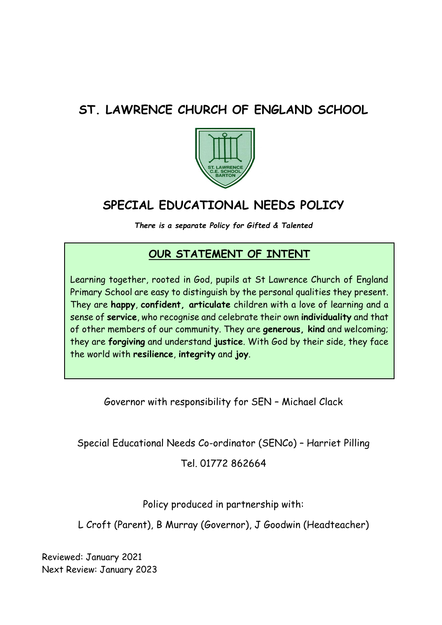# **ST. LAWRENCE CHURCH OF ENGLAND SCHOOL**



# **SPECIAL EDUCATIONAL NEEDS POLICY**

*There is a separate Policy for Gifted & Talented*

# **OUR STATEMENT OF INTENT**

Learning together, rooted in God, pupils at St Lawrence Church of England Primary School are easy to distinguish by the personal qualities they present. They are **happy**, **confident, articulate** children with a love of learning and a sense of **service**, who recognise and celebrate their own **individuality** and that of other members of our community. They are **generous, kind** and welcoming; they are **forgiving** and understand **justice**. With God by their side, they face the world with **resilience**, **integrity** and **joy**.

Governor with responsibility for SEN – Michael Clack

Special Educational Needs Co-ordinator (SENCo) – Harriet Pilling

Tel. 01772 862664

Policy produced in partnership with:

L Croft (Parent), B Murray (Governor), J Goodwin (Headteacher)

Reviewed: January 2021 Next Review: January 2023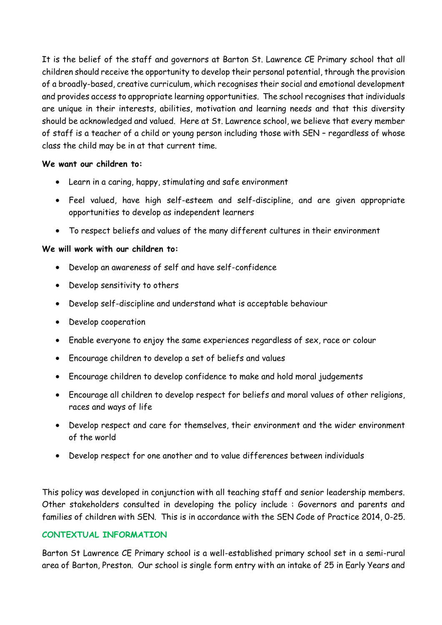It is the belief of the staff and governors at Barton St. Lawrence CE Primary school that all children should receive the opportunity to develop their personal potential, through the provision of a broadly-based, creative curriculum, which recognises their social and emotional development and provides access to appropriate learning opportunities. The school recognises that individuals are unique in their interests, abilities, motivation and learning needs and that this diversity should be acknowledged and valued. Here at St. Lawrence school, we believe that every member of staff is a teacher of a child or young person including those with SEN – regardless of whose class the child may be in at that current time.

#### **We want our children to:**

- Learn in a caring, happy, stimulating and safe environment
- Feel valued, have high self-esteem and self-discipline, and are given appropriate opportunities to develop as independent learners
- To respect beliefs and values of the many different cultures in their environment

# **We will work with our children to:**

- Develop an awareness of self and have self-confidence
- Develop sensitivity to others
- Develop self-discipline and understand what is acceptable behaviour
- Develop cooperation
- Enable everyone to enjoy the same experiences regardless of sex, race or colour
- Encourage children to develop a set of beliefs and values
- Encourage children to develop confidence to make and hold moral judgements
- Encourage all children to develop respect for beliefs and moral values of other religions, races and ways of life
- Develop respect and care for themselves, their environment and the wider environment of the world
- Develop respect for one another and to value differences between individuals

This policy was developed in conjunction with all teaching staff and senior leadership members. Other stakeholders consulted in developing the policy include : Governors and parents and families of children with SEN. This is in accordance with the SEN Code of Practice 2014, 0-25.

# **CONTEXTUAL INFORMATION**

Barton St Lawrence CE Primary school is a well-established primary school set in a semi-rural area of Barton, Preston. Our school is single form entry with an intake of 25 in Early Years and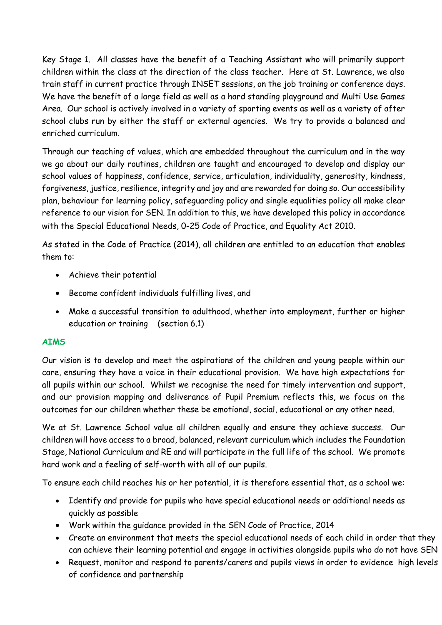Key Stage 1. All classes have the benefit of a Teaching Assistant who will primarily support children within the class at the direction of the class teacher. Here at St. Lawrence, we also train staff in current practice through INSET sessions, on the job training or conference days. We have the benefit of a large field as well as a hard standing playground and Multi Use Games Area. Our school is actively involved in a variety of sporting events as well as a variety of after school clubs run by either the staff or external agencies. We try to provide a balanced and enriched curriculum.

Through our teaching of values, which are embedded throughout the curriculum and in the way we go about our daily routines, children are taught and encouraged to develop and display our school values of happiness, confidence, service, articulation, individuality, generosity, kindness, forgiveness, justice, resilience, integrity and joy and are rewarded for doing so. Our accessibility plan, behaviour for learning policy, safeguarding policy and single equalities policy all make clear reference to our vision for SEN. In addition to this, we have developed this policy in accordance with the Special Educational Needs, 0-25 Code of Practice, and Equality Act 2010.

As stated in the Code of Practice (2014), all children are entitled to an education that enables them to:

- Achieve their potential
- Become confident individuals fulfilling lives, and
- Make a successful transition to adulthood, whether into employment, further or higher education or training (section 6.1)

# **AIMS**

Our vision is to develop and meet the aspirations of the children and young people within our care, ensuring they have a voice in their educational provision. We have high expectations for all pupils within our school. Whilst we recognise the need for timely intervention and support, and our provision mapping and deliverance of Pupil Premium reflects this, we focus on the outcomes for our children whether these be emotional, social, educational or any other need.

We at St. Lawrence School value all children equally and ensure they achieve success. Our children will have access to a broad, balanced, relevant curriculum which includes the Foundation Stage, National Curriculum and RE and will participate in the full life of the school. We promote hard work and a feeling of self-worth with all of our pupils.

To ensure each child reaches his or her potential, it is therefore essential that, as a school we:

- Identify and provide for pupils who have special educational needs or additional needs as quickly as possible
- Work within the guidance provided in the SEN Code of Practice, 2014
- Create an environment that meets the special educational needs of each child in order that they can achieve their learning potential and engage in activities alongside pupils who do not have SEN
- Request, monitor and respond to parents/carers and pupils views in order to evidence high levels of confidence and partnership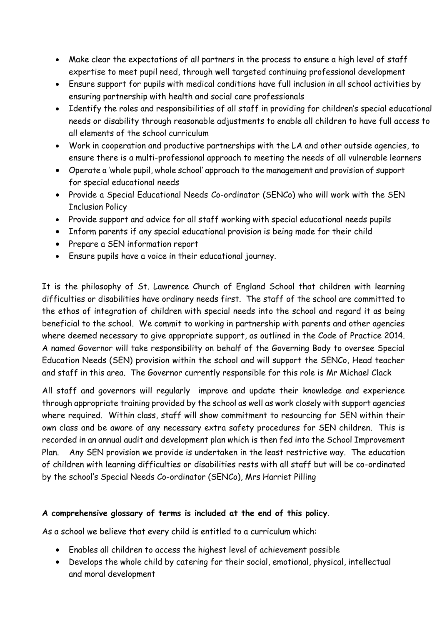- Make clear the expectations of all partners in the process to ensure a high level of staff expertise to meet pupil need, through well targeted continuing professional development
- Ensure support for pupils with medical conditions have full inclusion in all school activities by ensuring partnership with health and social care professionals
- Identify the roles and responsibilities of all staff in providing for children's special educational needs or disability through reasonable adjustments to enable all children to have full access to all elements of the school curriculum
- Work in cooperation and productive partnerships with the LA and other outside agencies, to ensure there is a multi-professional approach to meeting the needs of all vulnerable learners
- Operate a 'whole pupil, whole school' approach to the management and provision of support for special educational needs
- Provide a Special Educational Needs Co-ordinator (SENCo) who will work with the SEN Inclusion Policy
- Provide support and advice for all staff working with special educational needs pupils
- Inform parents if any special educational provision is being made for their child
- Prepare a SEN information report
- Ensure pupils have a voice in their educational journey.

It is the philosophy of St. Lawrence Church of England School that children with learning difficulties or disabilities have ordinary needs first. The staff of the school are committed to the ethos of integration of children with special needs into the school and regard it as being beneficial to the school. We commit to working in partnership with parents and other agencies where deemed necessary to give appropriate support, as outlined in the Code of Practice 2014. A named Governor will take responsibility on behalf of the Governing Body to oversee Special Education Needs (SEN) provision within the school and will support the SENCo, Head teacher and staff in this area. The Governor currently responsible for this role is Mr Michael Clack

All staff and governors will regularly improve and update their knowledge and experience through appropriate training provided by the school as well as work closely with support agencies where required. Within class, staff will show commitment to resourcing for SEN within their own class and be aware of any necessary extra safety procedures for SEN children. This is recorded in an annual audit and development plan which is then fed into the School Improvement Plan. Any SEN provision we provide is undertaken in the least restrictive way. The education of children with learning difficulties or disabilities rests with all staff but will be co-ordinated by the school's Special Needs Co-ordinator (SENCo), Mrs Harriet Pilling

# **A comprehensive glossary of terms is included at the end of this policy**.

As a school we believe that every child is entitled to a curriculum which:

- Enables all children to access the highest level of achievement possible
- Develops the whole child by catering for their social, emotional, physical, intellectual and moral development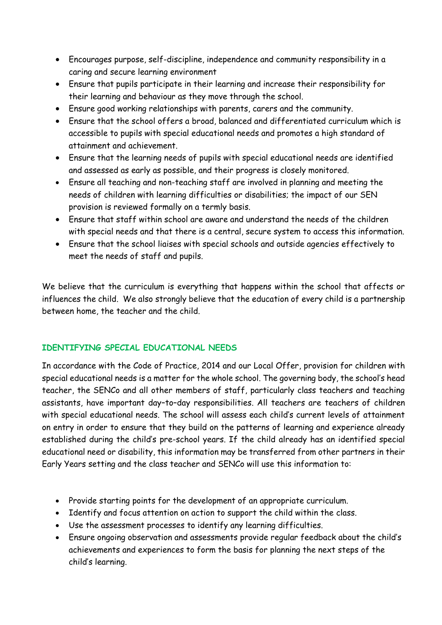- Encourages purpose, self-discipline, independence and community responsibility in a caring and secure learning environment
- Ensure that pupils participate in their learning and increase their responsibility for their learning and behaviour as they move through the school.
- Ensure good working relationships with parents, carers and the community.
- Ensure that the school offers a broad, balanced and differentiated curriculum which is accessible to pupils with special educational needs and promotes a high standard of attainment and achievement.
- Ensure that the learning needs of pupils with special educational needs are identified and assessed as early as possible, and their progress is closely monitored.
- Ensure all teaching and non-teaching staff are involved in planning and meeting the needs of children with learning difficulties or disabilities; the impact of our SEN provision is reviewed formally on a termly basis.
- Ensure that staff within school are aware and understand the needs of the children with special needs and that there is a central, secure system to access this information.
- Ensure that the school liaises with special schools and outside agencies effectively to meet the needs of staff and pupils.

We believe that the curriculum is everything that happens within the school that affects or influences the child. We also strongly believe that the education of every child is a partnership between home, the teacher and the child.

# **IDENTIFYING SPECIAL EDUCATIONAL NEEDS**

In accordance with the Code of Practice, 2014 and our Local Offer, provision for children with special educational needs is a matter for the whole school. The governing body, the school's head teacher, the SENCo and all other members of staff, particularly class teachers and teaching assistants, have important day–to–day responsibilities. All teachers are teachers of children with special educational needs. The school will assess each child's current levels of attainment on entry in order to ensure that they build on the patterns of learning and experience already established during the child's pre-school years. If the child already has an identified special educational need or disability, this information may be transferred from other partners in their Early Years setting and the class teacher and SENCo will use this information to:

- Provide starting points for the development of an appropriate curriculum.
- Identify and focus attention on action to support the child within the class.
- Use the assessment processes to identify any learning difficulties.
- Ensure ongoing observation and assessments provide regular feedback about the child's achievements and experiences to form the basis for planning the next steps of the child's learning.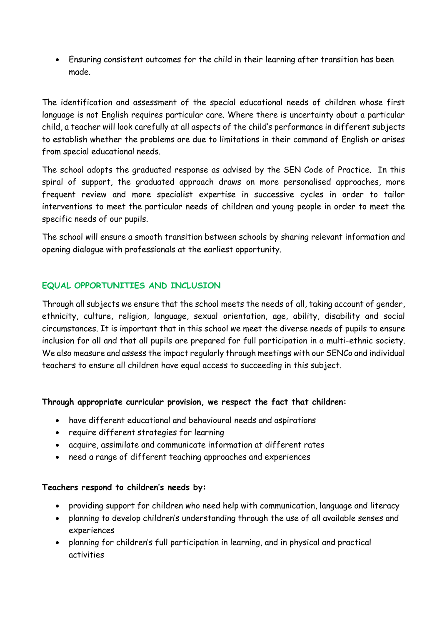Ensuring consistent outcomes for the child in their learning after transition has been made.

The identification and assessment of the special educational needs of children whose first language is not English requires particular care. Where there is uncertainty about a particular child, a teacher will look carefully at all aspects of the child's performance in different subjects to establish whether the problems are due to limitations in their command of English or arises from special educational needs.

The school adopts the graduated response as advised by the SEN Code of Practice. In this spiral of support, the graduated approach draws on more personalised approaches, more frequent review and more specialist expertise in successive cycles in order to tailor interventions to meet the particular needs of children and young people in order to meet the specific needs of our pupils.

The school will ensure a smooth transition between schools by sharing relevant information and opening dialogue with professionals at the earliest opportunity.

### **EQUAL OPPORTUNITIES AND INCLUSION**

Through all subjects we ensure that the school meets the needs of all, taking account of gender, ethnicity, culture, religion, language, sexual orientation, age, ability, disability and social circumstances. It is important that in this school we meet the diverse needs of pupils to ensure inclusion for all and that all pupils are prepared for full participation in a multi-ethnic society. We also measure and assess the impact regularly through meetings with our SENCo and individual teachers to ensure all children have equal access to succeeding in this subject.

#### **Through appropriate curricular provision, we respect the fact that children:**

- have different educational and behavioural needs and aspirations
- require different strategies for learning
- acquire, assimilate and communicate information at different rates
- need a range of different teaching approaches and experiences

#### **Teachers respond to children's needs by:**

- providing support for children who need help with communication, language and literacy
- planning to develop children's understanding through the use of all available senses and experiences
- planning for children's full participation in learning, and in physical and practical activities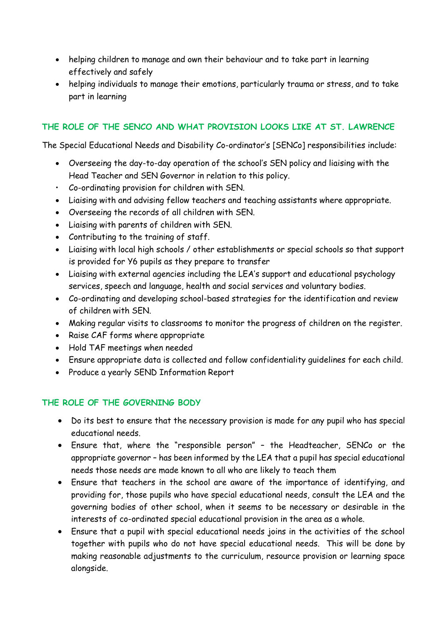- helping children to manage and own their behaviour and to take part in learning effectively and safely
- helping individuals to manage their emotions, particularly trauma or stress, and to take part in learning

# **THE ROLE OF THE SENCO AND WHAT PROVISION LOOKS LIKE AT ST. LAWRENCE**

The Special Educational Needs and Disability Co-ordinator's [SENCo] responsibilities include:

- Overseeing the day-to-day operation of the school's SEN policy and liaising with the Head Teacher and SEN Governor in relation to this policy.
- Co-ordinating provision for children with SEN.
- Liaising with and advising fellow teachers and teaching assistants where appropriate.
- Overseeing the records of all children with SEN.
- Liaising with parents of children with SEN.
- Contributing to the training of staff.
- Liaising with local high schools / other establishments or special schools so that support is provided for Y6 pupils as they prepare to transfer
- Liaising with external agencies including the LEA's support and educational psychology services, speech and language, health and social services and voluntary bodies.
- Co-ordinating and developing school-based strategies for the identification and review of children with SEN.
- Making regular visits to classrooms to monitor the progress of children on the register.
- Raise CAF forms where appropriate
- Hold TAF meetings when needed
- Ensure appropriate data is collected and follow confidentiality guidelines for each child.
- Produce a yearly SEND Information Report

# **THE ROLE OF THE GOVERNING BODY**

- Do its best to ensure that the necessary provision is made for any pupil who has special educational needs.
- Ensure that, where the "responsible person" the Headteacher, SENCo or the appropriate governor – has been informed by the LEA that a pupil has special educational needs those needs are made known to all who are likely to teach them
- Ensure that teachers in the school are aware of the importance of identifying, and providing for, those pupils who have special educational needs, consult the LEA and the governing bodies of other school, when it seems to be necessary or desirable in the interests of co-ordinated special educational provision in the area as a whole.
- Ensure that a pupil with special educational needs joins in the activities of the school together with pupils who do not have special educational needs. This will be done by making reasonable adjustments to the curriculum, resource provision or learning space alongside.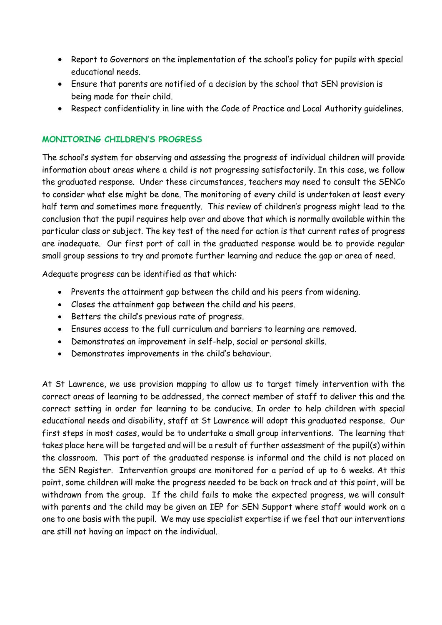- Report to Governors on the implementation of the school's policy for pupils with special educational needs.
- Ensure that parents are notified of a decision by the school that SEN provision is being made for their child.
- Respect confidentiality in line with the Code of Practice and Local Authority guidelines.

# **MONITORING CHILDREN'S PROGRESS**

The school's system for observing and assessing the progress of individual children will provide information about areas where a child is not progressing satisfactorily. In this case, we follow the graduated response. Under these circumstances, teachers may need to consult the SENCo to consider what else might be done. The monitoring of every child is undertaken at least every half term and sometimes more frequently. This review of children's progress might lead to the conclusion that the pupil requires help over and above that which is normally available within the particular class or subject. The key test of the need for action is that current rates of progress are inadequate. Our first port of call in the graduated response would be to provide regular small group sessions to try and promote further learning and reduce the gap or area of need.

Adequate progress can be identified as that which:

- Prevents the attainment gap between the child and his peers from widening.
- Closes the attainment gap between the child and his peers.
- Betters the child's previous rate of progress.
- Ensures access to the full curriculum and barriers to learning are removed.
- Demonstrates an improvement in self-help, social or personal skills.
- Demonstrates improvements in the child's behaviour.

At St Lawrence, we use provision mapping to allow us to target timely intervention with the correct areas of learning to be addressed, the correct member of staff to deliver this and the correct setting in order for learning to be conducive. In order to help children with special educational needs and disability, staff at St Lawrence will adopt this graduated response. Our first steps in most cases, would be to undertake a small group interventions. The learning that takes place here will be targeted and will be a result of further assessment of the pupil(s) within the classroom. This part of the graduated response is informal and the child is not placed on the SEN Register. Intervention groups are monitored for a period of up to 6 weeks. At this point, some children will make the progress needed to be back on track and at this point, will be withdrawn from the group. If the child fails to make the expected progress, we will consult with parents and the child may be given an IEP for SEN Support where staff would work on a one to one basis with the pupil. We may use specialist expertise if we feel that our interventions are still not having an impact on the individual.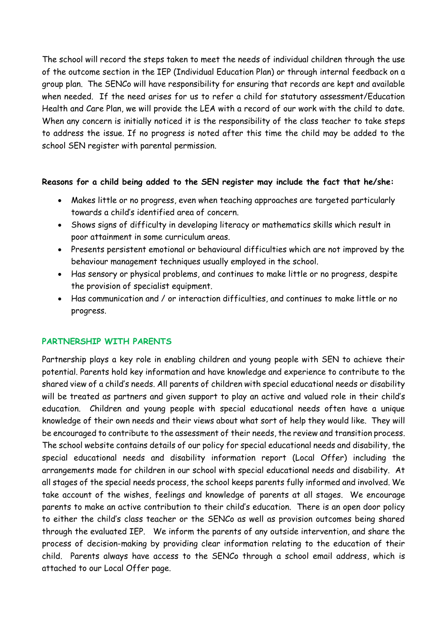The school will record the steps taken to meet the needs of individual children through the use of the outcome section in the IEP (Individual Education Plan) or through internal feedback on a group plan. The SENCo will have responsibility for ensuring that records are kept and available when needed. If the need arises for us to refer a child for statutory assessment/Education Health and Care Plan, we will provide the LEA with a record of our work with the child to date. When any concern is initially noticed it is the responsibility of the class teacher to take steps to address the issue. If no progress is noted after this time the child may be added to the school SEN register with parental permission.

#### **Reasons for a child being added to the SEN register may include the fact that he/she:**

- Makes little or no progress, even when teaching approaches are targeted particularly towards a child's identified area of concern.
- Shows signs of difficulty in developing literacy or mathematics skills which result in poor attainment in some curriculum areas.
- Presents persistent emotional or behavioural difficulties which are not improved by the behaviour management techniques usually employed in the school.
- Has sensory or physical problems, and continues to make little or no progress, despite the provision of specialist equipment.
- Has communication and / or interaction difficulties, and continues to make little or no progress.

# **PARTNERSHIP WITH PARENTS**

Partnership plays a key role in enabling children and young people with SEN to achieve their potential. Parents hold key information and have knowledge and experience to contribute to the shared view of a child's needs. All parents of children with special educational needs or disability will be treated as partners and given support to play an active and valued role in their child's education. Children and young people with special educational needs often have a unique knowledge of their own needs and their views about what sort of help they would like. They will be encouraged to contribute to the assessment of their needs, the review and transition process. The school website contains details of our policy for special educational needs and disability, the special educational needs and disability information report (Local Offer) including the arrangements made for children in our school with special educational needs and disability. At all stages of the special needs process, the school keeps parents fully informed and involved. We take account of the wishes, feelings and knowledge of parents at all stages. We encourage parents to make an active contribution to their child's education. There is an open door policy to either the child's class teacher or the SENCo as well as provision outcomes being shared through the evaluated IEP. We inform the parents of any outside intervention, and share the process of decision-making by providing clear information relating to the education of their child. Parents always have access to the SENCo through a school email address, which is attached to our Local Offer page.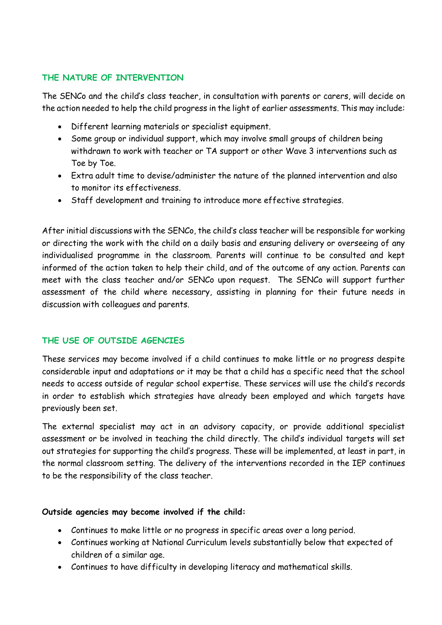#### **THE NATURE OF INTERVENTION**

The SENCo and the child's class teacher, in consultation with parents or carers, will decide on the action needed to help the child progress in the light of earlier assessments. This may include:

- Different learning materials or specialist equipment.
- Some group or individual support, which may involve small groups of children being withdrawn to work with teacher or TA support or other Wave 3 interventions such as Toe by Toe.
- Extra adult time to devise/administer the nature of the planned intervention and also to monitor its effectiveness.
- Staff development and training to introduce more effective strategies.

After initial discussions with the SENCo, the child's class teacher will be responsible for working or directing the work with the child on a daily basis and ensuring delivery or overseeing of any individualised programme in the classroom. Parents will continue to be consulted and kept informed of the action taken to help their child, and of the outcome of any action. Parents can meet with the class teacher and/or SENCo upon request. The SENCo will support further assessment of the child where necessary, assisting in planning for their future needs in discussion with colleagues and parents.

# **THE USE OF OUTSIDE AGENCIES**

These services may become involved if a child continues to make little or no progress despite considerable input and adaptations or it may be that a child has a specific need that the school needs to access outside of regular school expertise. These services will use the child's records in order to establish which strategies have already been employed and which targets have previously been set.

The external specialist may act in an advisory capacity, or provide additional specialist assessment or be involved in teaching the child directly. The child's individual targets will set out strategies for supporting the child's progress. These will be implemented, at least in part, in the normal classroom setting. The delivery of the interventions recorded in the IEP continues to be the responsibility of the class teacher.

#### **Outside agencies may become involved if the child:**

- Continues to make little or no progress in specific areas over a long period.
- Continues working at National Curriculum levels substantially below that expected of children of a similar age.
- Continues to have difficulty in developing literacy and mathematical skills.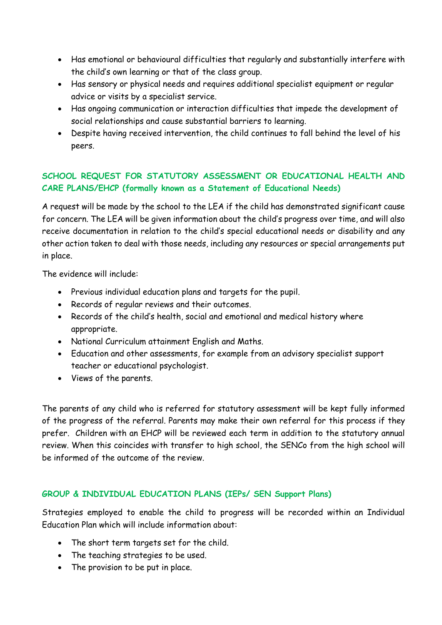- Has emotional or behavioural difficulties that regularly and substantially interfere with the child's own learning or that of the class group.
- Has sensory or physical needs and requires additional specialist equipment or regular advice or visits by a specialist service.
- Has ongoing communication or interaction difficulties that impede the development of social relationships and cause substantial barriers to learning.
- Despite having received intervention, the child continues to fall behind the level of his peers.

# **SCHOOL REQUEST FOR STATUTORY ASSESSMENT OR EDUCATIONAL HEALTH AND CARE PLANS/EHCP (formally known as a Statement of Educational Needs)**

A request will be made by the school to the LEA if the child has demonstrated significant cause for concern. The LEA will be given information about the child's progress over time, and will also receive documentation in relation to the child's special educational needs or disability and any other action taken to deal with those needs, including any resources or special arrangements put in place.

The evidence will include:

- Previous individual education plans and targets for the pupil.
- Records of regular reviews and their outcomes.
- Records of the child's health, social and emotional and medical history where appropriate.
- National Curriculum attainment English and Maths.
- Education and other assessments, for example from an advisory specialist support teacher or educational psychologist.
- Views of the parents.

The parents of any child who is referred for statutory assessment will be kept fully informed of the progress of the referral. Parents may make their own referral for this process if they prefer. Children with an EHCP will be reviewed each term in addition to the statutory annual review. When this coincides with transfer to high school, the SENCo from the high school will be informed of the outcome of the review.

# **GROUP & INDIVIDUAL EDUCATION PLANS (IEPs/ SEN Support Plans)**

Strategies employed to enable the child to progress will be recorded within an Individual Education Plan which will include information about:

- The short term targets set for the child.
- The teaching strategies to be used.
- The provision to be put in place.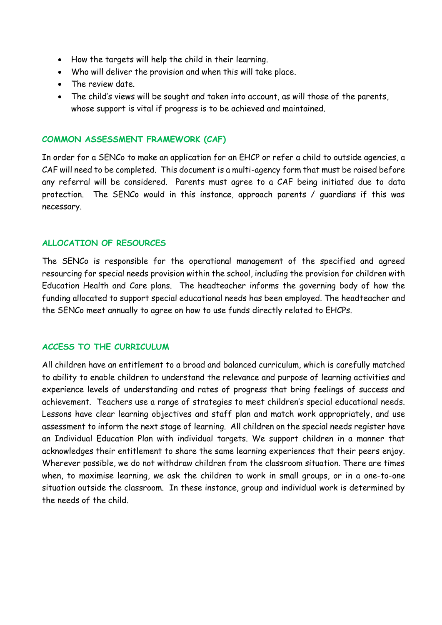- How the targets will help the child in their learning.
- Who will deliver the provision and when this will take place.
- The review date.
- The child's views will be sought and taken into account, as will those of the parents, whose support is vital if progress is to be achieved and maintained.

#### **COMMON ASSESSMENT FRAMEWORK (CAF)**

In order for a SENCo to make an application for an EHCP or refer a child to outside agencies, a CAF will need to be completed. This document is a multi-agency form that must be raised before any referral will be considered. Parents must agree to a CAF being initiated due to data protection. The SENCo would in this instance, approach parents / guardians if this was necessary.

#### **ALLOCATION OF RESOURCES**

The SENCo is responsible for the operational management of the specified and agreed resourcing for special needs provision within the school, including the provision for children with Education Health and Care plans. The headteacher informs the governing body of how the funding allocated to support special educational needs has been employed. The headteacher and the SENCo meet annually to agree on how to use funds directly related to EHCPs.

#### **ACCESS TO THE CURRICULUM**

All children have an entitlement to a broad and balanced curriculum, which is carefully matched to ability to enable children to understand the relevance and purpose of learning activities and experience levels of understanding and rates of progress that bring feelings of success and achievement. Teachers use a range of strategies to meet children's special educational needs. Lessons have clear learning objectives and staff plan and match work appropriately, and use assessment to inform the next stage of learning. All children on the special needs register have an Individual Education Plan with individual targets. We support children in a manner that acknowledges their entitlement to share the same learning experiences that their peers enjoy. Wherever possible, we do not withdraw children from the classroom situation. There are times when, to maximise learning, we ask the children to work in small groups, or in a one-to-one situation outside the classroom. In these instance, group and individual work is determined by the needs of the child.